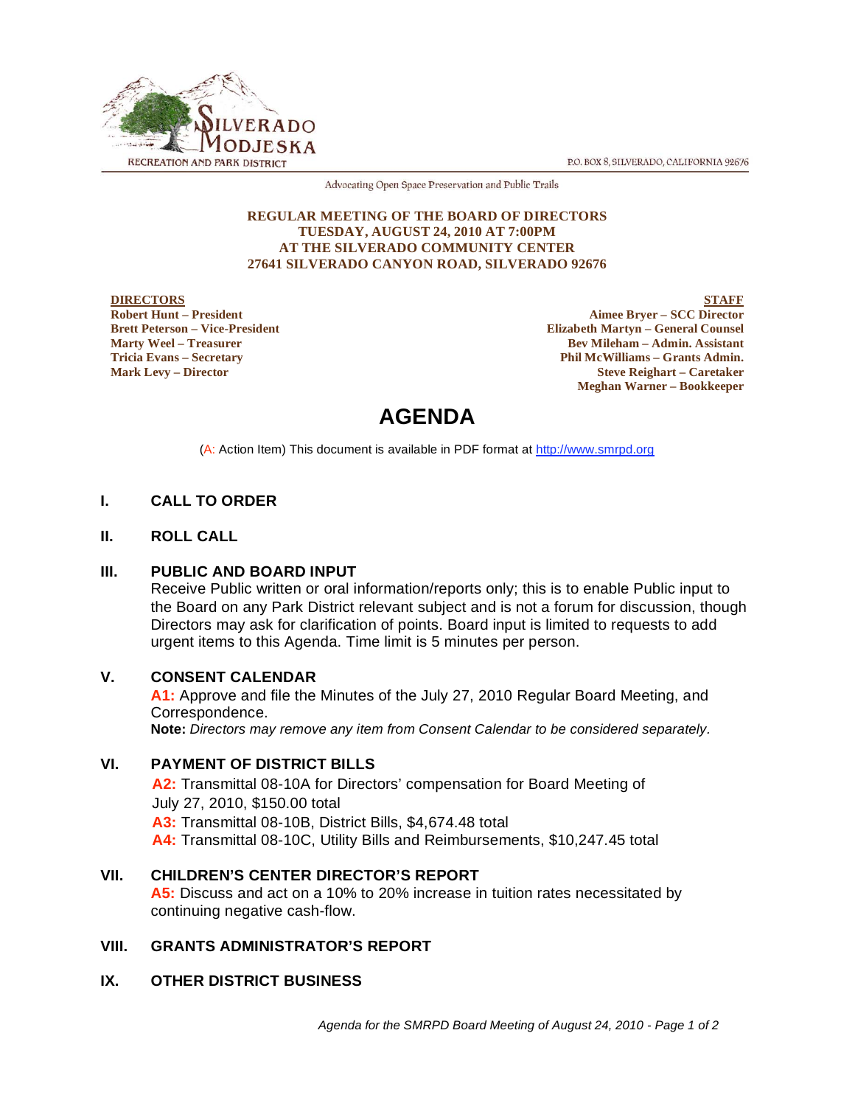P.O. BOX 8, SILVERADO, CALIFORNIA 92676



Advocating Open Space Preservation and Public Trails

#### **REGULAR MEETING OF THE BOARD OF DIRECTORS TUESDAY, AUGUST 24, 2010 AT 7:00PM AT THE SILVERADO COMMUNITY CENTER 27641 SILVERADO CANYON ROAD, SILVERADO 92676**

#### **DIRECTORS Robert Hunt – President Brett Peterson – Vice-President Marty Weel – Treasurer Tricia Evans – Secretary Mark Levy – Director**

**STAFF Aimee Bryer – SCC Director Elizabeth Martyn – General Counsel Bev Mileham – Admin. Assistant Phil McWilliams – Grants Admin. Steve Reighart – Caretaker Meghan Warner – Bookkeeper**

# **AGENDA**

(A: Action Item) This document is available in PDF format at http://www.smrpd.org

# **I. CALL TO ORDER**

# **II. ROLL CALL**

# **III. PUBLIC AND BOARD INPUT**

Receive Public written or oral information/reports only; this is to enable Public input to the Board on any Park District relevant subject and is not a forum for discussion, though Directors may ask for clarification of points. Board input is limited to requests to add urgent items to this Agenda. Time limit is 5 minutes per person.

#### **V. CONSENT CALENDAR**

**A1:** Approve and file the Minutes of the July 27, 2010 Regular Board Meeting, and Correspondence.

**Note:** *Directors may remove any item from Consent Calendar to be considered separately.*

# **VI. PAYMENT OF DISTRICT BILLS**

**A2:** Transmittal 08-10A for Directors' compensation for Board Meeting of July 27, 2010, \$150.00 total **A3:** Transmittal 08-10B, District Bills, \$4,674.48 total **A4:** Transmittal 08-10C, Utility Bills and Reimbursements, \$10,247.45 total

# **VII. CHILDREN'S CENTER DIRECTOR'S REPORT**

**A5:** Discuss and act on a 10% to 20% increase in tuition rates necessitated by continuing negative cash-flow.

# **VIII. GRANTS ADMINISTRATOR'S REPORT**

# **IX. OTHER DISTRICT BUSINESS**